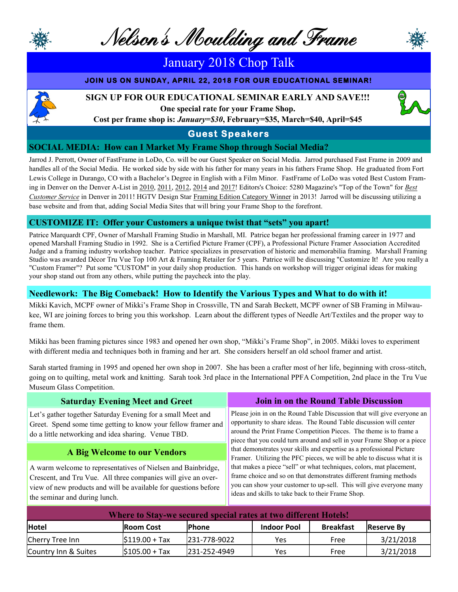

Nelson's Moulding and Frame

## January 2018 Chop Talk

#### **JOIN US ON SUNDAY, APRIL 22, 2018 FOR OUR EDUCATIONAL SEMINAR!**

#### **SIGN UP FOR OUR EDUCATIONAL SEMINAR EARLY AND SAVE!!!**



**One special rate for your Frame Shop. Cost per frame shop is:** *January=\$30***, February=\$35, March=\$40, April=\$45** 

### **Guest Speakers**

#### **SOCIAL MEDIA: How can I Market My Frame Shop through Social Media?**

Jarrod J. Perrott, Owner of FastFrame in LoDo, Co. will be our Guest Speaker on Social Media. Jarrod purchased Fast Frame in 2009 and handles all of the Social Media. He worked side by side with his father for many years in his fathers Frame Shop. He graduated from Fort Lewis College in Durango, CO with a Bachelor's Degree in English with a Film Minor. FastFrame of LoDo was voted Best Custom Framing in Denver on the Denver A-List in [2010,](http://kmgh.cityvoter.com/best/custom-framing/shopping/denver/2010) [2011,](http://kmgh.cityvoter.com/best/custom-framing/shopping/denver?utm_source=fastframe-of-lodo&utm_medium=reciprocallink&utm_campaign=reciprocallinks) [2012,](http://denveralist.cityvoter.com/best/custom-framing/shopping/denver/slideshow/2012?utm_source=bizprof&utm_medium=site&utm_campaign=bp-awardlist) [2014](http://denveralist.cityvoter.com/award/fastframe-of-lodo-best-custom-framing-2014/794677?utm_source=admin&utm_medium=email&utm_campaign=cv0065) and [2017!](http://tinyurl.com/mdfzknw) Editors's Choice: 5280 Magazine's "Top of the Town" for *[Best](http://www.5280.com/top-of-the-town/fastframe-lodo)  [Customer Service](http://www.5280.com/top-of-the-town/fastframe-lodo)* in Denver in 2011! HGTV Design Star [Framing Edition Category Winner](http://www.fastframeoflodo.com/blog/fastframe-of-lodo-design-star-competition-winner/) in 2013! Jarrod will be discussing utilizing a base website and from that, adding Social Media Sites that will bring your Frame Shop to the forefront.

#### **CUSTOMIZE IT: Offer your Customers a unique twist that "sets" you apart!**

Patrice Marquardt CPF, Owner of Marshall Framing Studio in Marshall, MI. Patrice began her professional framing career in 1977 and opened Marshall Framing Studio in 1992. She is a Certified Picture Framer (CPF), a Professional Picture Framer Association Accredited Judge and a framing industry workshop teacher. Patrice specializes in preservation of historic and memorabilia framing. Marshall Framing Studio was awarded Décor Tru Vue Top 100 Art & Framing Retailer for 5 years. Patrice will be discussing "Customize It! Are you really a "Custom Framer"? Put some "CUSTOM" in your daily shop production. This hands on workshop will trigger original ideas for making your shop stand out from any others, while putting the paycheck into the play.

#### **Needlework: The Big Comeback! How to Identify the Various Types and What to do with it!**

Mikki Kavich, MCPF owner of Mikki's Frame Shop in Crossville, TN and Sarah Beckett, MCPF owner of SB Framing in Milwaukee, WI are joining forces to bring you this workshop. Learn about the different types of Needle Art/Textiles and the proper way to frame them.

Mikki has been framing pictures since 1983 and opened her own shop, "Mikki's Frame Shop", in 2005. Mikki loves to experiment with different media and techniques both in framing and her art. She considers herself an old school framer and artist.

Sarah started framing in 1995 and opened her own shop in 2007. She has been a crafter most of her life, beginning with cross-stitch, going on to quilting, metal work and knitting. Sarah took 3rd place in the International PPFA Competition, 2nd place in the Tru Vue Museum Glass Competition.

| <b>Saturday Evening Meet and Greet</b>                                                                                                                                                                                            | Join in on the Round Table Discussion                                                                                                                                                                                                                                                          |  |  |
|-----------------------------------------------------------------------------------------------------------------------------------------------------------------------------------------------------------------------------------|------------------------------------------------------------------------------------------------------------------------------------------------------------------------------------------------------------------------------------------------------------------------------------------------|--|--|
| Let's gather together Saturday Evening for a small Meet and<br>Greet. Spend some time getting to know your fellow framer and<br>do a little networking and idea sharing. Venue TBD.                                               | Please join in on the Round Table Discussion that will give everyone an<br>opportunity to share ideas. The Round Table discussion will center<br>around the Print Frame Competition Pieces. The theme is to frame a<br>piece that you could turn around and sell in your Frame Shop or a piece |  |  |
| A Big Welcome to our Vendors                                                                                                                                                                                                      | that demonstrates your skills and expertise as a professional Picture<br>Framer. Utilizing the PFC pieces, we will be able to discuss what it is                                                                                                                                               |  |  |
| A warm welcome to representatives of Nielsen and Bainbridge,<br>Crescent, and Tru Vue. All three companies will give an over-<br>view of new products and will be available for questions before<br>the seminar and during lunch. | that makes a piece "sell" or what techniques, colors, mat placement,<br>frame choice and so on that demonstrates different framing methods<br>you can show your customer to up-sell. This will give everyone many<br>ideas and skills to take back to their Frame Shop.                        |  |  |

| Where to Stay-we secured special rates at two different Hotels! |                  |               |                    |                  |                    |  |  |  |
|-----------------------------------------------------------------|------------------|---------------|--------------------|------------------|--------------------|--|--|--|
| Hotel                                                           | <b>Room Cost</b> | <b>IPhone</b> | <b>Indoor Pool</b> | <b>Breakfast</b> | <b>IReserve By</b> |  |  |  |
| Cherry Tree Inn                                                 | $ $119.00 + Tax$ | 231-778-9022  | Yes                | Free             | 3/21/2018          |  |  |  |
| Country Inn & Suites                                            | $ $105.00 + Tax$ | 231-252-4949  | Yes                | Free             | 3/21/2018          |  |  |  |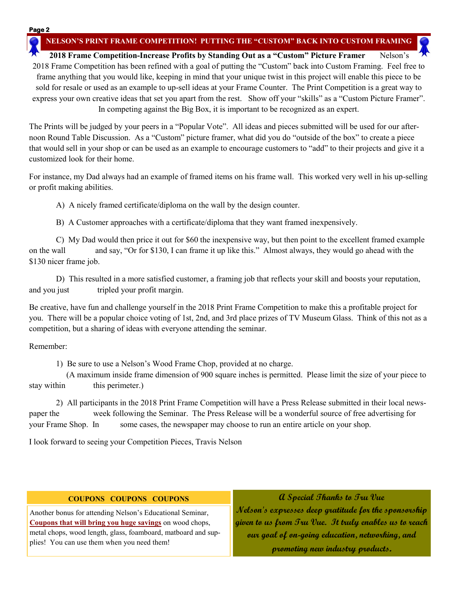**NELSON'S PRINT FRAME COMPETITION! PUTTING THE "CUSTOM" BACK INTO CUSTOM FRAMING**

**2018 Frame Competition-Increase Profits by Standing Out as a "Custom" Picture Framer** Nelson's 2018 Frame Competition has been refined with a goal of putting the "Custom" back into Custom Framing. Feel free to frame anything that you would like, keeping in mind that your unique twist in this project will enable this piece to be sold for resale or used as an example to up-sell ideas at your Frame Counter. The Print Competition is a great way to express your own creative ideas that set you apart from the rest. Show off your "skills" as a "Custom Picture Framer". In competing against the Big Box, it is important to be recognized as an expert.

The Prints will be judged by your peers in a "Popular Vote". All ideas and pieces submitted will be used for our afternoon Round Table Discussion. As a "Custom" picture framer, what did you do "outside of the box" to create a piece that would sell in your shop or can be used as an example to encourage customers to "add" to their projects and give it a customized look for their home.

For instance, my Dad always had an example of framed items on his frame wall. This worked very well in his up-selling or profit making abilities.

A) A nicely framed certificate/diploma on the wall by the design counter.

B) A Customer approaches with a certificate/diploma that they want framed inexpensively.

C) My Dad would then price it out for \$60 the inexpensive way, but then point to the excellent framed example on the wall and say, "Or for \$130, I can frame it up like this." Almost always, they would go ahead with the \$130 nicer frame job.

D) This resulted in a more satisfied customer, a framing job that reflects your skill and boosts your reputation, and you just tripled your profit margin.

Be creative, have fun and challenge yourself in the 2018 Print Frame Competition to make this a profitable project for you. There will be a popular choice voting of 1st, 2nd, and 3rd place prizes of TV Museum Glass. Think of this not as a competition, but a sharing of ideas with everyone attending the seminar.

Remember:

1) Be sure to use a Nelson's Wood Frame Chop, provided at no charge.

 (A maximum inside frame dimension of 900 square inches is permitted. Please limit the size of your piece to stay within this perimeter.)

2) All participants in the 2018 Print Frame Competition will have a Press Release submitted in their local newspaper the week following the Seminar. The Press Release will be a wonderful source of free advertising for your Frame Shop. In some cases, the newspaper may choose to run an entire article on your shop.

I look forward to seeing your Competition Pieces, Travis Nelson

#### **COUPONS COUPONS COUPONS**

Another bonus for attending Nelson's Educational Seminar, **Coupons that will bring you huge savings** on wood chops, metal chops, wood length, glass, foamboard, matboard and supplies! You can use them when you need them!

**A Special Thanks to Tru Vue Nelson's expresses deep gratitude for the sponsorship given to us from Tru Vue. It truly enables us to reach our goal of on-going education, networking, and promoting new industry products.**